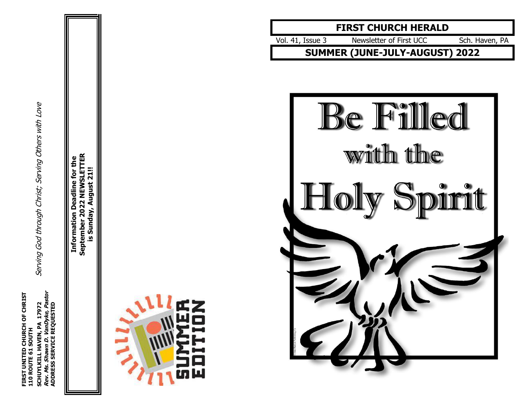SCHUYLKILL HAVEN, PA 17972<br>*Rev. Ms. Shawn D. Vandyke, Pastor*<br>ADDRESS SERVICE REQUESTED **FIRST UNITED CHURCH OF CHRIST Rev. Ms. Shawn D. VanDyke, Pastor** FIRST UNITED CHURCH OF CHRIST<br>110 ROUTE 61 SOUTH **ADDRESS SERVICE REQUESTED 110 ROUTE 61 SOUTH**

Serving God through Christ; Serving Others with Love **SCHUYLKILL HAVEN, PA 17972** Serving God through Christ; Serving Others with Love

September 2022 NEWSLETTER **September 2022 NEWSLETTER** Information Deadline for the **Information Deadline for the** is Sunday, August 21!! **is Sunday, August 21!!**





Vol . 41, Issue Newsletter of First UCC Sch. Haven, PA

**SUMMER (JUNE -JULY -AUGUST) 2022**

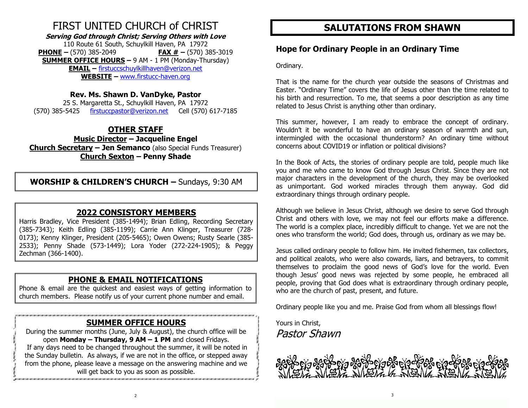# FIRST UNITED CHURCH of CHRIST

**Serving God through Christ; Serving Others with Love** 110 Route 61 South, Schuylkill Haven, PA 17972 **PHONE –** (570) 385-2049 **FAX # –** (570) 385-3019

**SUMMER OFFICE HOURS –** 9 AM - 1 PM (Monday-Thursday) **EMAIL –** [firstuccschuylkillhaven@verizon.net](mailto:firstuccschuylkillhaven@verizon.net) **WEBSITE –** [www.firstucc-haven.org](http://www.firstucc-haven.org/)

# **Rev. Ms. Shawn D. VanDyke, Pastor**

25 S. Margaretta St., Schuylkill Haven, PA 17972 (570) 385-5425 [firstuccpastor@verizon.net](mailto:firstuccpastor@verizon.net) Cell (570) 617-7185

# **OTHER STAFF**

**Music Director – Jacqueline Engel Church Secretary – Jen Semanco** (also Special Funds Treasurer) **Church Sexton – Penny Shade**

**WORSHIP & CHILDREN'S CHURCH –** Sundays, 9:30 AM

# **2022 CONSISTORY MEMBERS**

Harris Bradley, Vice President (385-1494); Brian Edling, Recording Secretary (385-7343); Keith Edling (385-1199); Carrie Ann Klinger, Treasurer (728- 0173); Kenny Klinger, President (205-5465); Owen Owens; Rusty Searle (385- 2533); Penny Shade (573-1449); Lora Yoder (272-224-1905); & Peggy Zechman (366-1400).

# **PHONE & EMAIL NOTIFICATIONS**

Phone & email are the quickest and easiest ways of getting information to church members. Please notify us of your current phone number and email.

# **SUMMER OFFICE HOURS**

During the summer months (June, July & August), the church office will be open **Monday – Thursday, 9 AM – 1 PM** and closed Fridays. If any days need to be changed throughout the summer, it will be noted in the Sunday bulletin. As always, if we are not in the office, or stepped away from the phone, please leave a message on the answering machine and we will get back to you as soon as possible.

# **SALUTATIONS FROM SHAWN**

# **Hope for Ordinary People in an Ordinary Time**

Ordinary.

That is the name for the church year outside the seasons of Christmas and Easter. "Ordinary Time" covers the life of Jesus other than the time related to his birth and resurrection. To me, that seems a poor description as any time related to Jesus Christ is anything other than ordinary.

This summer, however, I am ready to embrace the concept of ordinary. Wouldn't it be wonderful to have an ordinary season of warmth and sun, intermingled with the occasional thunderstorm? An ordinary time without concerns about COVID19 or inflation or political divisions?

In the Book of Acts, the stories of ordinary people are told, people much like you and me who came to know God through Jesus Christ. Since they are not major characters in the development of the church, they may be overlooked as unimportant. God worked miracles through them anyway. God did extraordinary things through ordinary people.

Although we believe in Jesus Christ, although we desire to serve God through Christ and others with love, we may not feel our efforts make a difference. The world is a complex place, incredibly difficult to change. Yet we are not the ones who transform the world; God does, through us, ordinary as we may be.

Jesus called ordinary people to follow him. He invited fishermen, tax collectors, and political zealots, who were also cowards, liars, and betrayers, to commit themselves to proclaim the good news of God's love for the world. Even though Jesus' good news was rejected by some people, he embraced all people, proving that God does what is extraordinary through ordinary people, who are the church of past, present, and future.

Ordinary people like you and me. Praise God from whom all blessings flow!

Yours in Christ, Pastor Shawn

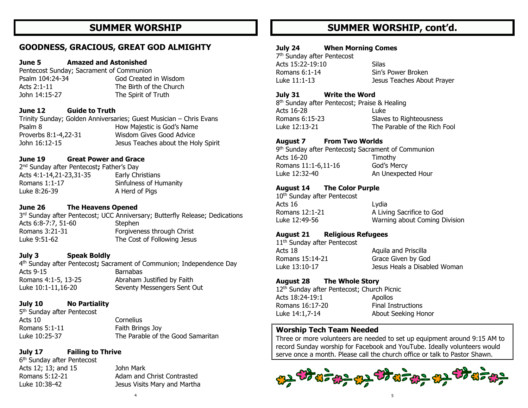# **SUMMER WORSHIP**

# **GOODNESS, GRACIOUS, GREAT GOD ALMIGHTY**

#### **June 5 Amazed and Astonished**

Pentecost Sunday; Sacrament of Communion Psalm 104:24-34 God Created in Wisdom Acts 2:1-11 The Birth of the Church John 14:15-27 The Spirit of Truth

#### **June 12 Guide to Truth**

Trinity Sunday; Golden Anniversaries; Guest Musician – Chris Evans Psalm 8 **How Majestic is God's Name** Proverbs 8:1-4,22-31 Wisdom Gives Good Advice John 16:12-15 Jesus Teaches about the Holy Spirit

#### **June 19 Great Power and Grace**

2 nd Sunday after Pentecost**;** Father's Day Acts 4:1-14,21-23,31-35 Early Christians Romans 1:1-17 Sinfulness of Humanity Luke 8:26-39 A Herd of Pigs

#### **June 26 The Heavens Opened**

3<sup>rd</sup> Sunday after Pentecost; UCC Anniversary; Butterfly Release; Dedications Acts 6:8-7:7, 51-60 Stephen Romans 3:21-31 Forgiveness through Christ Luke 9:51-62 The Cost of Following Jesus

#### **July 3 Speak Boldly**

4 th Sunday after Pentecost**;** Sacrament of Communion; Independence Day Acts 9-15 Barnabas Romans 4:1-5, 13-25 Abraham Justified by Faith Luke 10:1-11,16-20 Seventy Messengers Sent Out

#### **July 10 No Partiality**

5<sup>th</sup> Sunday after Pentecost Acts 10 Cornelius Romans 5:1-11 Faith Brings Joy

# Luke 10:25-37 The Parable of the Good Samaritan

### **July 17 Failing to Thrive**

6 th Sunday after Pentecost Acts 12; 13; and 15 John Mark

Romans 5:12-21 Adam and Christ Contrasted Luke 10:38-42 Jesus Visits Mary and Martha

# **SUMMER WORSHIP, cont'd.**

#### **July 24 When Morning Comes**

7 th Sunday after Pentecost Acts 15:22-19:10 Silas Romans 6:1-14 Sin's Power Broken Luke 11:1-13 Jesus Teaches About Prayer

#### **July 31 Write the Word**

8<sup>th</sup> Sunday after Pentecost; Praise & Healing Acts 16-28 Luke Romans 6:15-23 Slaves to Righteousness Luke 12:13-21 The Parable of the Rich Fool

#### **August 7 From Two Worlds**

9 th Sunday after Pentecost**;** Sacrament of Communion Acts 16-20 Timothy Romans 11:1-6,11-16 God's Mercy Luke 12:32-40 An Unexpected Hour

#### **August 14 The Color Purple**

10<sup>th</sup> Sunday after Pentecost Acts 16 Lydia Romans 12:1-21 A Living Sacrifice to God Luke 12:49-56 Warning about Coming Division

#### **August 21 Religious Refugees**

11<sup>th</sup> Sunday after Pentecost Acts 18 Aquila and Priscilla Romans 15:14-21 Grace Given by God Luke 13:10-17 Jesus Heals a Disabled Woman

### **August 28 The Whole Story**

12<sup>th</sup> Sunday after Pentecost; Church Picnic Acts 18:24-19:1 Apollos Romans 16:17-20 Final Instructions Luke 14:1,7-14 About Seeking Honor

### **Worship Tech Team Needed**

Three or more volunteers are needed to set up equipment around 9:15 AM to record Sunday worship for Facebook and YouTube. Ideally volunteers would serve once a month. Please call the church office or talk to Pastor Shawn.

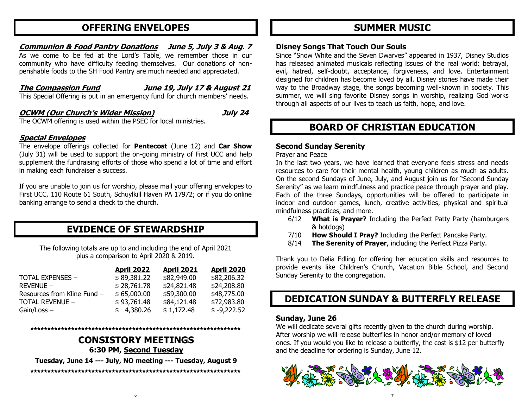# **OFFERING ENVELOPES**

#### **Communion & Food Pantry Donations June 5, July 3 & Aug. 7**

As we come to be fed at the Lord's Table, we remember those in our community who have difficulty feeding themselves. Our donations of nonperishable foods to the SH Food Pantry are much needed and appreciated.

**The Compassion Fund June 19, July 17 & August 21**

This Special Offering is put in an emergency fund for church members' needs.

# **OCWM (Our Church's Wider Mission) July 24**

The OCWM offering is used within the PSEC for local ministries.

### **Special Envelopes**

The envelope offerings collected for **Pentecost** (June 12) and **Car Show** (July 31) will be used to support the on-going ministry of First UCC and help supplement the fundraising efforts of those who spend a lot of time and effort in making each fundraiser a success.

If you are unable to join us for worship, please mail your offering envelopes to First UCC, 110 Route 61 South, Schuylkill Haven PA 17972; or if you do online banking arrange to send a check to the church.

# **EVIDENCE OF STEWARDSHIP**

The following totals are up to and including the end of April 2021 plus a comparison to April 2020 & 2019.

|                             | <b>April 2022</b> | <b>April 2021</b> | <b>April 2020</b> |
|-----------------------------|-------------------|-------------------|-------------------|
| <b>TOTAL EXPENSES -</b>     | \$89,381.22       | \$82,949.00       | \$82,206.32       |
| $REVENUE -$                 | \$28,761.78       | \$24,821.48       | \$24,208.80       |
| Resources from Kline Fund - | \$65,000.00       | \$59,300.00       | \$48,775.00       |
| TOTAL REVENUE -             | \$93,761.48       | \$84,121.48       | \$72,983.80       |
| $Gain / Loss -$             | \$4,380.26        | \$1,172.48        | $$ -9,222.52$     |

# **\*\*\*\*\*\*\*\*\*\*\*\*\*\*\*\*\*\*\*\*\*\*\*\*\*\*\*\*\*\*\*\*\*\*\*\*\*\*\*\*\*\*\*\*\*\*\*\*\*\*\*\*\*\*\*\*\*\*\*\*\*\***

**CONSISTORY MEETINGS 6:30 PM, Second Tuesday**

**Tuesday, June 14 --- July, NO meeting --- Tuesday, August 9**

**\*\*\*\*\*\*\*\*\*\*\*\*\*\*\*\*\*\*\*\*\*\*\*\*\*\*\*\*\*\*\*\*\*\*\*\*\*\*\*\*\*\*\*\*\*\*\*\*\*\*\*\*\*\*\*\*\*\*\*\*\*\***

# **SUMMER MUSIC**

#### **Disney Songs That Touch Our Souls**

Since "Snow White and the Seven Dwarves" appeared in 1937, Disney Studios has released animated musicals reflecting issues of the real world: betrayal, evil, hatred, self-doubt, acceptance, forgiveness, and love. Entertainment designed for children has become loved by all. Disney stories have made their way to the Broadway stage, the songs becoming well-known in society. This summer, we will sing favorite Disney songs in worship, realizing God works through all aspects of our lives to teach us faith, hope, and love.

# **BOARD OF CHRISTIAN EDUCATION**

### **Second Sunday Serenity**

Prayer and Peace

In the last two years, we have learned that everyone feels stress and needs resources to care for their mental health, young children as much as adults. On the second Sundays of June, July, and August join us for "Second Sunday Serenity" as we learn mindfulness and practice peace through prayer and play. Each of the three Sundays, opportunities will be offered to participate in indoor and outdoor games, lunch, creative activities, physical and spiritual mindfulness practices, and more.

- 6/12 **What is Prayer?** Including the Perfect Patty Party (hamburgers & hotdogs)
- 7/10 **How Should I Pray?** Including the Perfect Pancake Party.
- 8/14 **The Serenity of Prayer**, including the Perfect Pizza Party.

Thank you to Delia Edling for offering her education skills and resources to provide events like Children's Church, Vacation Bible School, and Second Sunday Serenity to the congregation.

# **DEDICATION SUNDAY & BUTTERFLY RELEASE**

### **Sunday, June 26**

We will dedicate several gifts recently given to the church during worship. After worship we will release butterflies in honor and/or memory of loved ones. If you would you like to release a butterfly, the cost is \$12 per butterfly and the deadline for ordering is Sunday, June 12.

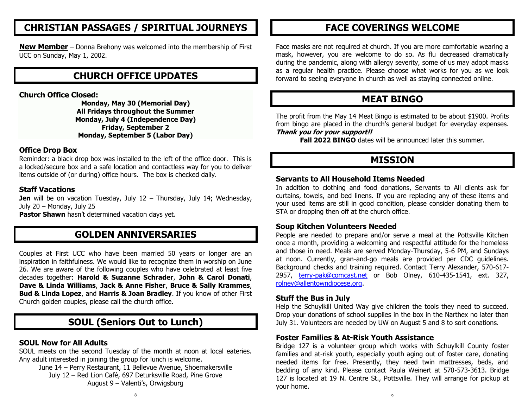# **CHRISTIAN PASSAGES / SPIRITUAL JOURNEYS**

**New Member** – Donna Brehony was welcomed into the membership of First UCC on Sunday, May 1, 2002.

# **CHURCH OFFICE UPDATES**

**Church Office Closed:** 

**Monday, May 30 (Memorial Day) All Fridays throughout the Summer Monday, July 4 (Independence Day) Friday, September 2 Monday, September 5 (Labor Day)**

# **Office Drop Box**

Reminder: a black drop box was installed to the left of the office door. This is a locked/secure box and a safe location and contactless way for you to deliver items outside of (or during) office hours. The box is checked daily.

# **Staff Vacations**

**Jen** will be on vacation Tuesday, July 12 - Thursday, July 14; Wednesday, July 20 – Monday, July 25

**Pastor Shawn** hasn't determined vacation days yet.

# **GOLDEN ANNIVERSARIES**

Couples at First UCC who have been married 50 years or longer are an inspiration in faithfulness. We would like to recognize them in worship on June 26. We are aware of the following couples who have celebrated at least five decades together: **Harold & Suzanne Schrader**, **John & Carol Donati**, **Dave & Linda Williams**, **Jack & Anne Fisher**, **Bruce & Sally Krammes**, **Bud & Linda Lopez**, and **Harris & Joan Bradley**. If you know of other First Church golden couples, please call the church office.

# **SOUL (Seniors Out to Lunch)**

# **SOUL Now for All Adults**

SOUL meets on the second Tuesday of the month at noon at local eateries. Any adult interested in joining the group for lunch is welcome.

June 14 – Perry Restaurant, 11 Bellevue Avenue, Shoemakersville July 12 – Red Lion Café, 697 Deturksville Road, Pine Grove August 9 – Valenti's, Orwigsburg

# **FACE COVERINGS WELCOME**

Face masks are not required at church. If you are more comfortable wearing a mask, however, you are welcome to do so. As flu decreased dramatically during the pandemic, along with allergy severity, some of us may adopt masks as a regular health practice. Please choose what works for you as we look forward to seeing everyone in church as well as staying connected online.

# **MEAT BINGO**

The profit from the May 14 Meat Bingo is estimated to be about \$1900. Profits from bingo are placed in the church's general budget for everyday expenses.

#### **Thank you for your support!!**

**Fall 2022 BINGO** dates will be announced later this summer.

# **MISSION**

#### **Servants to All Household Items Needed**

In addition to clothing and food donations, Servants to All clients ask for curtains, towels, and bed linens. If you are replacing any of these items and your used items are still in good condition, please consider donating them to STA or dropping then off at the church office.

### **Soup Kitchen Volunteers Needed**

People are needed to prepare and/or serve a meal at the Pottsville Kitchen once a month, providing a welcoming and respectful attitude for the homeless and those in need. Meals are served Monday-Thursday, 5-6 PM, and Sundays at noon. Currently, gran-and-go meals are provided per CDC guidelines. Background checks and training required. Contact Terry Alexander, 570-617- 2957, [terry-pak@comcast.net](mailto:terry-pak@comcast.net) or Bob Olney, 610-435-1541, ext. 327, [rolney@allentowndiocese.org.](mailto:rolney@allentowndiocese.org)

### **Stuff the Bus in July**

Help the Schuylkill United Way give children the tools they need to succeed. Drop your donations of school supplies in the box in the Narthex no later than July 31. Volunteers are needed by UW on August 5 and 8 to sort donations.

### **Foster Families & At-Risk Youth Assistance**

Bridge 127 is a volunteer group which works with Schuylkill County foster families and at-risk youth, especially youth aging out of foster care, donating needed items for free. Presently, they need twin mattresses, beds, and bedding of any kind. Please contact Paula Weinert at 570-573-3613. Bridge 127 is located at 19 N. Centre St., Pottsville. They will arrange for pickup at your home.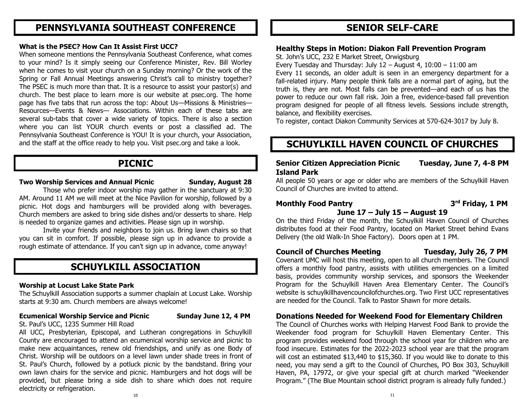# **PENNSYLVANIA SOUTHEAST CONFERENCE**

#### **What is the PSEC? How Can It Assist First UCC?**

When someone mentions the Pennsylvania Southeast Conference, what comes to your mind? Is it simply seeing our Conference Minister, Rev. Bill Worley when he comes to visit your church on a Sunday morning? Or the work of the Spring or Fall Annual Meetings answering Christ's call to ministry together? The PSEC is much more than that. It is a resource to assist your pastor(s) and church. The best place to learn more is our website at psec.org. The home page has five tabs that run across the top: About Us—Missions & Ministries— Resources—Events & News— Associations. Within each of these tabs are several sub-tabs that cover a wide variety of topics. There is also a section where you can list YOUR church events or post a classified ad. The Pennsylvania Southeast Conference is YOU! It is your church, your Association, and the staff at the office ready to help you. Visit psec.org and take a look.

# **PICNIC**

#### **Two Worship Services and Annual Picnic Sunday, August 28**

Those who prefer indoor worship may gather in the sanctuary at 9:30 AM. Around 11 AM we will meet at the Nice Pavilion for worship, followed by a picnic. Hot dogs and hamburgers will be provided along with beverages. Church members are asked to bring side dishes and/or desserts to share. Help is needed to organize games and activities. Please sign up in worship.

Invite your friends and neighbors to join us. Bring lawn chairs so that you can sit in comfort. If possible, please sign up in advance to provide a rough estimate of attendance. If you can't sign up in advance, come anyway!

# **SCHUYLKILL ASSOCIATION**

#### **Worship at Locust Lake State Park**

The Schuylkill Association supports a summer chaplain at Locust Lake. Worship starts at 9:30 am. Church members are always welcome!

#### **Ecumenical Worship Service and Picnic Sunday June 12, 4 PM**

#### St. Paul's UCC, 1235 Summer Hill Road

All UCC, Presbyterian, Episcopal, and Lutheran congregations in Schuylkill County are encouraged to attend an ecumenical worship service and picnic to make new acquaintances, renew old friendships, and unify as one Body of Christ. Worship will be outdoors on a level lawn under shade trees in front of St. Paul's Church, followed by a potluck picnic by the bandstand. Bring your own lawn chairs for the service and picnic. Hamburgers and hot dogs will be provided, but please bring a side dish to share which does not require electricity or refrigeration.

# **SENIOR SELF-CARE**

#### **Healthy Steps in Motion: Diakon Fall Prevention Program**

St. John's UCC, 232 E Market Street, Orwigsburg

Every Tuesday and Thursday: July  $12 -$  August 4,  $10:00 - 11:00$  am Every 11 seconds, an older adult is seen in an emergency department for a fall-related injury. Many people think falls are a normal part of aging, but the truth is, they are not. Most falls can be prevented—and each of us has the power to reduce our own fall risk. Join a free, evidence-based fall prevention program designed for people of all fitness levels. Sessions include strength, balance, and flexibility exercises.

To register, contact Diakon Community Services at 570-624-3017 by July 8.

# **SCHUYLKILL HAVEN COUNCIL OF CHURCHES**

# **Senior Citizen Appreciation Picnic Tuesday, June 7, 4-8 PM Island Park**

All people 50 years or age or older who are members of the Schuylkill Haven Council of Churches are invited to attend.

# **Monthly Food Pantry 3 June 17 – July 15 – August 19**

**rd Friday, 1 PM** 

On the third Friday of the month, the Schuylkill Haven Council of Churches distributes food at their Food Pantry, located on Market Street behind Evans Delivery (the old Walk-In Shoe Factory). Doors open at 1 PM.

### **Council of Churches Meeting Tuesday, July 26, 7 PM**

Covenant UMC will host this meeting, open to all church members. The Council offers a monthly food pantry, assists with utilities emergencies on a limited basis, provides community worship services, and sponsors the Weekender Program for the Schuylkill Haven Area Elementary Center. The Council's website is schuylkillhavencouncilofchurches.org. Two First UCC representatives are needed for the Council. Talk to Pastor Shawn for more details.

### **Donations Needed for Weekend Food for Elementary Children**

The Council of Churches works with Helping Harvest Food Bank to provide the Weekender food program for Schuylkill Haven Elementary Center. This program provides weekend food through the school year for children who are food insecure. Estimates for the 2022-2023 school year are that the program will cost an estimated \$13,440 to \$15,360. If you would like to donate to this need, you may send a gift to the Council of Churches, PO Box 303, Schuylkill Haven, PA, 17972, or give your special gift at church marked "Weekender Program." (The Blue Mountain school district program is already fully funded.)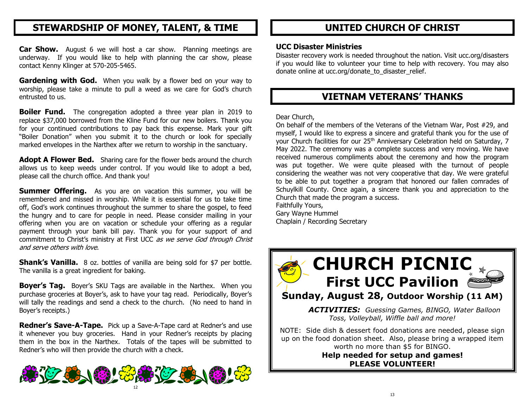# **STEWARDSHIP OF MONEY, TALENT, & TIME**

**Car Show.** August 6 we will host a car show. Planning meetings are underway. If you would like to help with planning the car show, please contact Kenny Klinger at 570-205-5465.

**Gardening with God.** When you walk by a flower bed on your way to worship, please take a minute to pull a weed as we care for God's church entrusted to us.

**Boiler Fund.** The congregation adopted a three year plan in 2019 to replace \$37,000 borrowed from the Kline Fund for our new boilers. Thank you for your continued contributions to pay back this expense. Mark your gift "Boiler Donation" when you submit it to the church or look for specially marked envelopes in the Narthex after we return to worship in the sanctuary.

**Adopt A Flower Bed.** Sharing care for the flower beds around the church allows us to keep weeds under control. If you would like to adopt a bed, please call the church office. And thank you!

**Summer Offering.** As you are on vacation this summer, you will be remembered and missed in worship. While it is essential for us to take time off, God's work continues throughout the summer to share the gospel, to feed the hungry and to care for people in need. Please consider mailing in your offering when you are on vacation or schedule your offering as a regular payment through your bank bill pay. Thank you for your support of and commitment to Christ's ministry at First UCC as we serve God through Christ and serve others with love.

**Shank's Vanilla.** 8 oz. bottles of vanilla are being sold for \$7 per bottle. The vanilla is a great ingredient for baking.

**Boyer's Tag.** Boyer's SKU Tags are available in the Narthex. When you purchase groceries at Boyer's, ask to have your tag read. Periodically, Boyer's will tally the readings and send a check to the church. (No need to hand in Boyer's receipts.)

**Redner's Save-A-Tape.** Pick up a Save-A-Tape card at Redner's and use it whenever you buy groceries. Hand in your Redner's receipts by placing them in the box in the Narthex. Totals of the tapes will be submitted to Redner's who will then provide the church with a check.



# **UNITED CHURCH OF CHRIST**

# **UCC Disaster Ministries**

Disaster recovery work is needed throughout the nation. Visit ucc.org/disasters if you would like to volunteer your time to help with recovery. You may also donate online at ucc.org/donate\_to\_disaster\_relief.

# **VIETNAM VETERANS' THANKS**

Dear Church,

On behalf of the members of the Veterans of the Vietnam War, Post #29, and myself, I would like to express a sincere and grateful thank you for the use of your Church facilities for our 25<sup>th</sup> Anniversary Celebration held on Saturday, 7 May 2022. The ceremony was a complete success and very moving. We have received numerous compliments about the ceremony and how the program was put together. We were quite pleased with the turnout of people considering the weather was not very cooperative that day. We were grateful to be able to put together a program that honored our fallen comrades of Schuylkill County. Once again, a sincere thank you and appreciation to the Church that made the program a success. Faithfully Yours,

Gary Wayne Hummel Chaplain / Recording Secretary